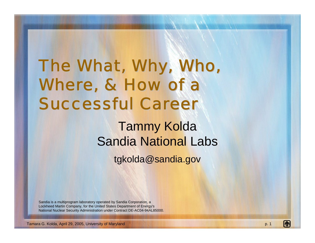### The What, Why, Who, Where, & How of a **Successful Career**

Tammy Kolda Sandia National Labs

tgkolda@sandia.gov

Sandia is a multiprogram laboratory operated by Sandia Corporation, a Lockheed Martin Company, for the United States Department of Energy's National Nuclear Security Administration under Contract DE-AC04-94AL85000.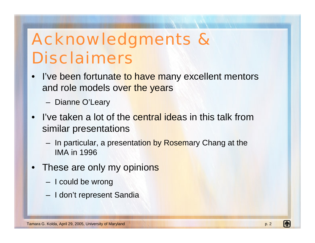### Acknowledgments & Disclaimers

- I've been fortunate to have many excellent mentors and role models over the years
	- Dianne O'Leary
- I've taken a lot of the central ideas in this talk from similar presentations
	- In particular, a presentation by Rosemary Chang at the IMA in 1996
- These are only my opinions
	- –I could be wrong
	- I don't represent Sandia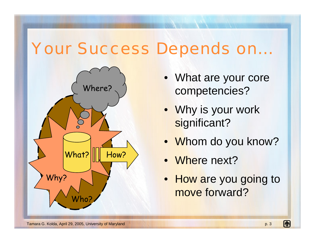#### Your Success Depends on…



- What are your core competencies?
- Why is your work significant?
- Whom do you know?
- Where next?
- How are you going to move forward?

lu.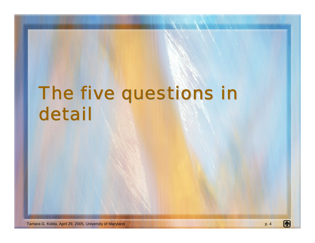# The five questions in detail

Œ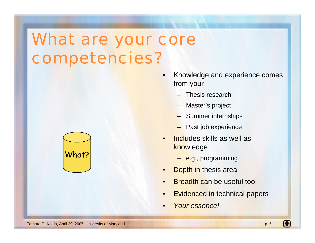### What are your core competencies?



- • Knowledge and experience comes from your
	- –Thesis research
	- –Master's project
	- Summer internships
	- –Past job experience
- • Includes skills as well as knowledge
	- <mark>– e.g.</mark>, programming
- •Depth in thesis area
- •Breadth can be useful too!
- •Evidenced in technical papers
- •*Your essence!*

m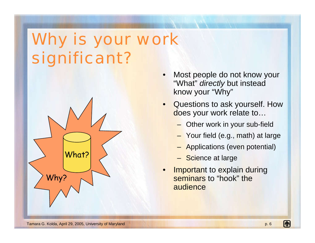## Why is your work significant?



- • Most people do not know your "What" *directly* but instead know your "Why"
- • Questions to ask yourself. How does your work relate to...
	- Other work in your sub-field
	- Your field (e.g., math) at large
	- Applications (even potential)
	- Science at large
- • Important to explain during seminars to "hook" the audience

m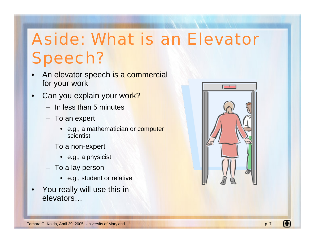## Aside: What is an Elevator Speech?

- • An elevator speech is a commercial for your work
- •Can you explain your work?
	- In less than 5 minutes
	- To an expert
		- e.g., a mathematician or computer scientist
	- To a non-expert
		- e.g., a physicist
	- To a lay person
		- e.g., student or relative
- • You really will use this in elevators…

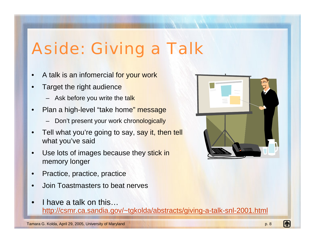## Aside: Giving a Talk

- •A talk is an infomercial for your work
- •Target the right audience
	- Ask before you write the tal<mark>k</mark>
- • Plan a high-level "take home" message
	- Don't present your work chronologically
- • Tell what you're going to say, say it, then tell what you've said
- • Use lots of images because they stick in memory longer
- •Practice, practice, practice
- •Join Toastmasters to beat nerves
- • I have a talk on this…<http://csmr.ca.sandia.gov/~tgkolda/abstracts/giving-a-talk-snl-2001.html>

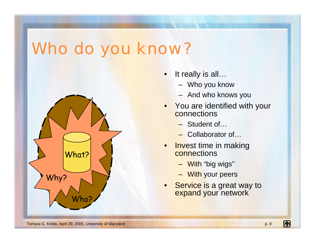#### Who do you know?



- $\bullet$  It really is all…
	- Who you know
	- And who knows you
- • You are identified with your connections
	- Student of…
	- Collaborator of…
- $\bullet$  Invest time in making connections
	- With "big wigs"
	- With your peers
- • Service is a great way to expand your network

(h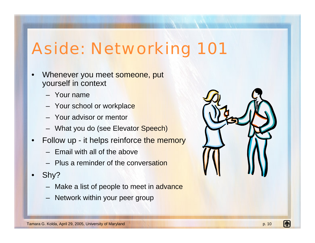### Aside: Networking 101

- •Whenever you meet someone, put yourself in context
	- Your name
	- Your school or workplac<mark>e</mark>
	- Your advisor or mentor
	- What you do (see Elevato<mark>r Speech</mark>)
- $\bullet$ Follow up - it helps reinforce the memory
	- Email with all of the above
	- Plus a reminder of the conversation
- • Shy?
	- Make a list of people to meet in advance
	- Network within your peer group

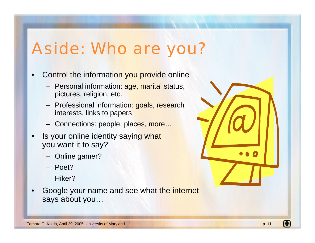### Aside: Who are you?

- • Control the information you provide online
	- Personal information: <mark>age, marital s</mark>tatus, pictures, religion, etc.
	- Professional information: goals, research interests, links to papers
	- Connections: people, places, more…
- •Is your online identity saying what you want it to say?
	- Online gamer?
	- Poet?
	- Hiker?
- • Google your name and see what the internet says about you…

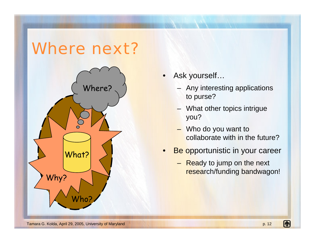#### Where next?



•Ask yourself…

- Any interesting applications to purse?
- What other topics intrigue you?
- Who do you want to collaborate with in the future?
- • Be opportunistic in your career
	- Ready to jump on the next research/funding bandwagon!

Œ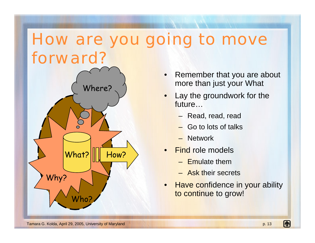#### How are you going to move forward?



- • Remember that you are about more than just your What
- • Lay the groundwork for the future…
	- Read, read, read
	- Go to lots of talks
	- Network
- •**Find role models** 
	- Emulate them
	- Ask their secrets
- •**Have confidence in your ability** to continue to grow!

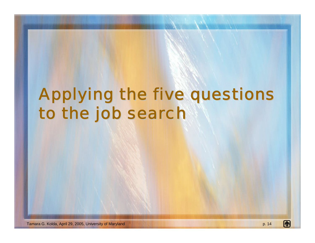### Applying the five questions to the job search

[ħ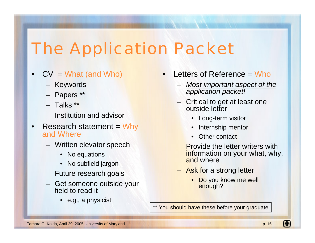### The Application Packet

- $\bullet$  $CV = What (and Who)$ 
	- Keywords
	- Papers \*\*
	- Talks \*\*
	- Institution and advisor
- •Research statement = Why and Where
	- Written elevator speech
		- No equations
		- No subfield jargon
	- Future research goals
	- Get someone outside your field to read it
		- e.g., a physicist
- • Letters of Reference = Who
	- *Most important aspect of the application packet!*
	- Critical to get at least one outside letter
		- Long-term visitor
		- Internship mentor
		- •Other contact
	- Provide the letter writers with information on your what, why, and where
	- Ask for a strong letter
		- •Do you know me well enough?
- \*\* You should have these before your graduate

li.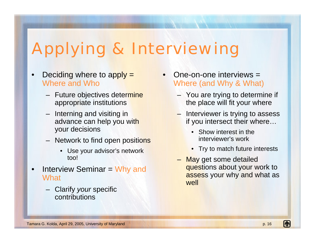## Applying & Interviewing

- •Deciding where to apply  $=$ Where and Who
	- Future objectives dete<mark>rmine</mark> appropriate institutions
	- Interning and visiting in advance can help you with your decisions
	- Network to find open positi<mark>ons</mark>
		- Use your advisor's network too!
- • Interview Seminar = Why and **What** 
	- Clarify *your* specific contributions
- • One-on-one interviews = Where (and Why & What)
	- You are trying to determine if the place will fit your where
	- Interviewer is trying to assess if you intersect their where…
		- • Show interest in the interviewer's work
		- Try to match future interests
	- May get some detailed questions about your work to assess your why and what as well

li.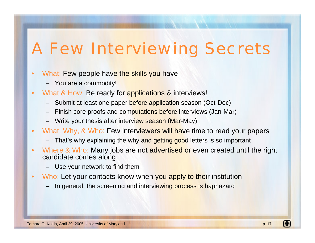### A Few Interviewing Secrets

- •What: Few people hav<mark>e the skills you h</mark>ave
	- You are a commodity!
- $\bullet$ What & How: Be ready for applications & interviews!
	- Submit at least one paper before application season (Oct-Dec)
	- Finish core proofs and com<mark>putations before i</mark>nterviews (Jan-Mar)
	- Write your thesis after intervi<mark>ew season (Mar</mark>-May)
- $\bullet$ What, Why, & Who: Few interviewers will have time to read your papers
	- That's why explaining the why and getting good letters is so important
- •Where & Who: Many jobs are not advertised or even created until the right candidate comes along
	- Use your network to find them
- $\bullet$ Who: Let your contacts know when you apply to their institution
	- In general, the screening and intervi<mark>ewing process is ha</mark>phazard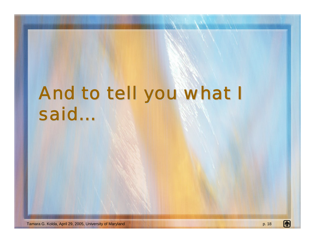# And to tell you what I said…

Tamara G. Kolda, April 29, 2005, University of Maryland p. 18

Œ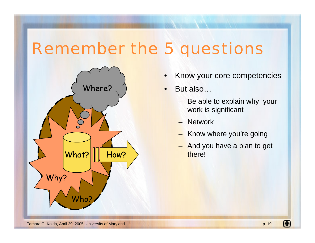#### Remember the 5 questions



- •Know your core competencies
- • But also…
	- Be able to explain why your work is significant
	- **Network**
	- Know where you're going
	- And you have a plan to get